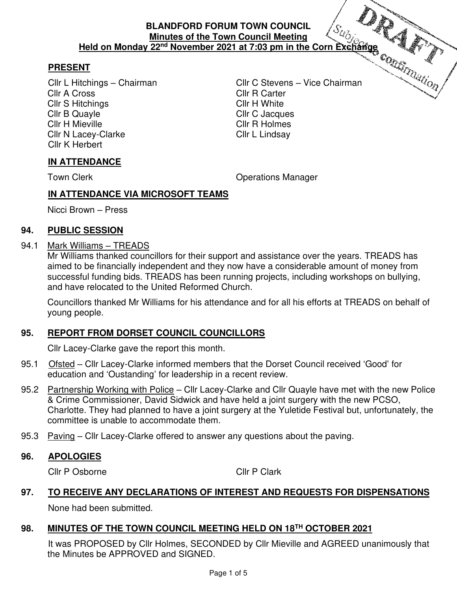## **PRESENT**

Cllr A Cross Cllr R Carter Cllr S Hitchings **Cllr H White** Cllr B Quayle Cllr C Jacques Cllr H Mieville Cllr R Holmes Cllr N Lacey-Clarke Cllr L Lindsay Cllr K Herbert

Cllr L Hitchings – Chairman Cllr C Stevens – Vice Chairman

## **IN ATTENDANCE**

Town Clerk **Contract Contract Contract Contract Contract Contract Contract Contract Contract Contract Contract Contract Contract Contract Contract Contract Contract Contract Contract Contract Contract Contract Contract Con** 

## **IN ATTENDANCE VIA MICROSOFT TEAMS**

Nicci Brown – Press

### **94. PUBLIC SESSION**

### 94.1 Mark Williams – TREADS

 Mr Williams thanked councillors for their support and assistance over the years. TREADS has aimed to be financially independent and they now have a considerable amount of money from successful funding bids. TREADS has been running projects, including workshops on bullying, and have relocated to the United Reformed Church.

 Councillors thanked Mr Williams for his attendance and for all his efforts at TREADS on behalf of young people.

## **95. REPORT FROM DORSET COUNCIL COUNCILLORS**

Cllr Lacey-Clarke gave the report this month.

- 95.1 Ofsted Cllr Lacey-Clarke informed members that the Dorset Council received 'Good' for education and 'Oustanding' for leadership in a recent review.
- 95.2 Partnership Working with Police Cllr Lacey-Clarke and Cllr Quayle have met with the new Police & Crime Commissioner, David Sidwick and have held a joint surgery with the new PCSO, Charlotte. They had planned to have a joint surgery at the Yuletide Festival but, unfortunately, the committee is unable to accommodate them.
- 95.3 Paving Cllr Lacey-Clarke offered to answer any questions about the paving.

### **96. APOLOGIES**

Cllr P Osborne Cllr P Clark

### **97. TO RECEIVE ANY DECLARATIONS OF INTEREST AND REQUESTS FOR DISPENSATIONS**

None had been submitted.

### **98. MINUTES OF THE TOWN COUNCIL MEETING HELD ON 18TH OCTOBER 2021**

 It was PROPOSED by Cllr Holmes, SECONDED by Cllr Mieville and AGREED unanimously that the Minutes be APPROVED and SIGNED.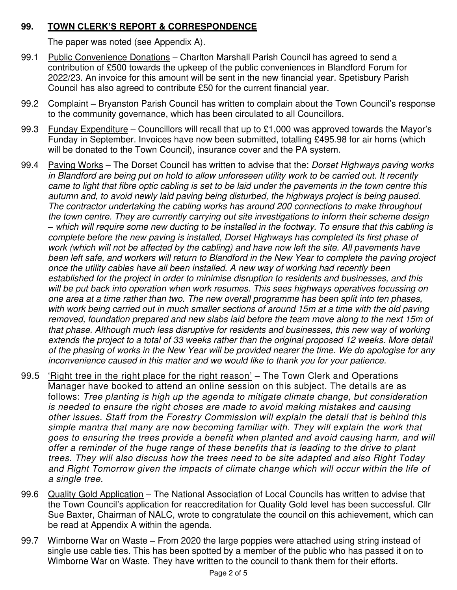## **99. TOWN CLERK'S REPORT & CORRESPONDENCE**

The paper was noted (see Appendix A).

- 99.1 Public Convenience Donations Charlton Marshall Parish Council has agreed to send a contribution of £500 towards the upkeep of the public conveniences in Blandford Forum for 2022/23. An invoice for this amount will be sent in the new financial year. Spetisbury Parish Council has also agreed to contribute £50 for the current financial year.
- 99.2 Complaint Bryanston Parish Council has written to complain about the Town Council's response to the community governance, which has been circulated to all Councillors.
- 99.3 Funday Expenditure Councillors will recall that up to £1,000 was approved towards the Mayor's Funday in September. Invoices have now been submitted, totalling £495.98 for air horns (which will be donated to the Town Council), insurance cover and the PA system.
- 99.4 Paving Works The Dorset Council has written to advise that the: Dorset Highways paving works in Blandford are being put on hold to allow unforeseen utility work to be carried out. It recently came to light that fibre optic cabling is set to be laid under the pavements in the town centre this autumn and, to avoid newly laid paving being disturbed, the highways project is being paused. The contractor undertaking the cabling works has around 200 connections to make throughout the town centre. They are currently carrying out site investigations to inform their scheme design *–* which will require some new ducting to be installed in the footway. To ensure that this cabling is complete before the new paving is installed, Dorset Highways has completed its first phase of work (which will not be affected by the cabling) and have now left the site. All pavements have been left safe, and workers will return to Blandford in the New Year to complete the paving project once the utility cables have all been installed. A new way of working had recently been established for the project in order to minimise disruption to residents and businesses, and this will be put back into operation when work resumes. This sees highways operatives focussing on one area at a time rather than two. The new overall programme has been split into ten phases, with work being carried out in much smaller sections of around 15m at a time with the old paving removed, foundation prepared and new slabs laid before the team move along to the next 15m of that phase. Although much less disruptive for residents and businesses, this new way of working extends the project to a total of 33 weeks rather than the original proposed 12 weeks. More detail of the phasing of works in the New Year will be provided nearer the time. We do apologise for any inconvenience caused in this matter and we would like to thank you for your patience.
- 99.5 'Right tree in the right place for the right reason' The Town Clerk and Operations Manager have booked to attend an online session on this subject. The details are as follows: Tree planting is high up the agenda to mitigate climate change, but consideration is needed to ensure the right choses are made to avoid making mistakes and causing other issues. Staff from the Forestry Commission will explain the detail that is behind this simple mantra that many are now becoming familiar with. They will explain the work that goes to ensuring the trees provide a benefit when planted and avoid causing harm, and will offer a reminder of the huge range of these benefits that is leading to the drive to plant trees. They will also discuss how the trees need to be site adapted and also Right Today and Right Tomorrow given the impacts of climate change which will occur within the life of a single tree.
- 99.6 Quality Gold Application The National Association of Local Councils has written to advise that the Town Council's application for reaccreditation for Quality Gold level has been successful. Cllr Sue Baxter, Chairman of NALC, wrote to congratulate the council on this achievement, which can be read at Appendix A within the agenda.
- 99.7 Wimborne War on Waste From 2020 the large poppies were attached using string instead of single use cable ties. This has been spotted by a member of the public who has passed it on to Wimborne War on Waste. They have written to the council to thank them for their efforts.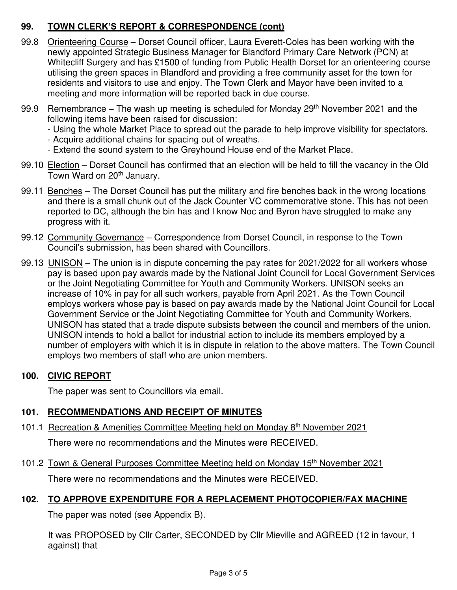## **99. TOWN CLERK'S REPORT & CORRESPONDENCE (cont)**

- 99.8 Orienteering Course Dorset Council officer, Laura Everett-Coles has been working with the newly appointed Strategic Business Manager for Blandford Primary Care Network (PCN) at Whitecliff Surgery and has £1500 of funding from Public Health Dorset for an orienteering course utilising the green spaces in Blandford and providing a free community asset for the town for residents and visitors to use and enjoy. The Town Clerk and Mayor have been invited to a meeting and more information will be reported back in due course.
- 99.9 Remembrance The wash up meeting is scheduled for Monday  $29<sup>th</sup>$  November 2021 and the following items have been raised for discussion:

- Using the whole Market Place to spread out the parade to help improve visibility for spectators.

- Acquire additional chains for spacing out of wreaths.
- Extend the sound system to the Greyhound House end of the Market Place.
- 99.10 Election Dorset Council has confirmed that an election will be held to fill the vacancy in the Old Town Ward on 20<sup>th</sup> January.
- 99.11 Benches The Dorset Council has put the military and fire benches back in the wrong locations and there is a small chunk out of the Jack Counter VC commemorative stone. This has not been reported to DC, although the bin has and I know Noc and Byron have struggled to make any progress with it.
- 99.12 Community Governance Correspondence from Dorset Council, in response to the Town Council's submission, has been shared with Councillors.
- 99.13 UNISON The union is in dispute concerning the pay rates for 2021/2022 for all workers whose pay is based upon pay awards made by the National Joint Council for Local Government Services or the Joint Negotiating Committee for Youth and Community Workers. UNISON seeks an increase of 10% in pay for all such workers, payable from April 2021. As the Town Council employs workers whose pay is based on pay awards made by the National Joint Council for Local Government Service or the Joint Negotiating Committee for Youth and Community Workers, UNISON has stated that a trade dispute subsists between the council and members of the union. UNISON intends to hold a ballot for industrial action to include its members employed by a number of employers with which it is in dispute in relation to the above matters. The Town Council employs two members of staff who are union members.

## **100. CIVIC REPORT**

The paper was sent to Councillors via email.

# **101. RECOMMENDATIONS AND RECEIPT OF MINUTES**

101.1 Recreation & Amenities Committee Meeting held on Monday 8th November 2021

There were no recommendations and the Minutes were RECEIVED.

101.2 Town & General Purposes Committee Meeting held on Monday 15th November 2021

There were no recommendations and the Minutes were RECEIVED.

# **102. TO APPROVE EXPENDITURE FOR A REPLACEMENT PHOTOCOPIER/FAX MACHINE**

The paper was noted (see Appendix B).

It was PROPOSED by Cllr Carter, SECONDED by Cllr Mieville and AGREED (12 in favour, 1 against) that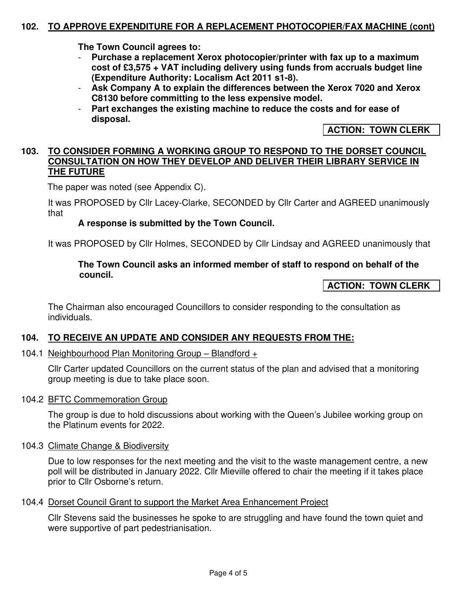#### **102. TO APPROVE EXPENDITURE FOR A REPLACEMENT PHOTOCOPIER/FAX MACHINE (cont)**

**The Town Council agrees to:** 

- **Purchase a replacement Xerox photocopier/printer with fax up to a maximum cost of £3,575 + VAT including delivery using funds from accruals budget line (Expenditure Authority: Localism Act 2011 s1-8).**
- **Ask Company A to explain the differences between the Xerox 7020 and Xerox C8130 before committing to the less expensive model.**
- Part exchanges the existing machine to reduce the costs and for ease of **disposal.**

**ACTION: TOWN CLERK** 

#### **103. TO CONSIDER FORMING A WORKING GROUP TO RESPOND TO THE DORSET COUNCIL CONSULTATION ON HOW THEY DEVELOP AND DELIVER THEIR LIBRARY SERVICE IN THE FUTURE**

The paper was noted (see Appendix C).

It was PROPOSED by Cllr Lacey-Clarke, SECONDED by Cllr Carter and AGREED unanimously that

#### **A response is submitted by the Town Council.**

It was PROPOSED by Cllr Holmes, SECONDED by Cllr Lindsay and AGREED unanimously that

#### **The Town Council asks an informed member of staff to respond on behalf of the council.**

#### **ACTION: TOWN CLERK**

The Chairman also encouraged Councillors to consider responding to the consultation as individuals.

#### **104. TO RECEIVE AN UPDATE AND CONSIDER ANY REQUESTS FROM THE:**

104.1 Neighbourhood Plan Monitoring Group – Blandford +

Cllr Carter updated Councillors on the current status of the plan and advised that a monitoring group meeting is due to take place soon.

#### 104.2 BFTC Commemoration Group

The group is due to hold discussions about working with the Queen's Jubilee working group on the Platinum events for 2022.

104.3 Climate Change & Biodiversity

Due to low responses for the next meeting and the visit to the waste management centre, a new poll will be distributed in January 2022. Cllr Mieville offered to chair the meeting if it takes place prior to Cllr Osborne's return.

104.4 Dorset Council Grant to support the Market Area Enhancement Project

Cllr Stevens said the businesses he spoke to are struggling and have found the town quiet and were supportive of part pedestrianisation.